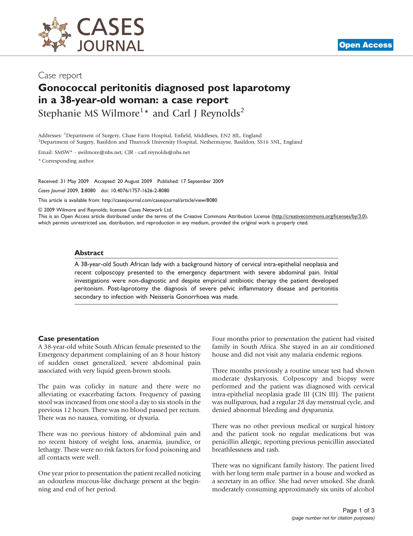

# Gonococcal peritonitis diagnosed post laparotomy in a 38-year-old woman: a case report

Stephanie MS Wilmore<sup>1</sup>\* and Carl J Reynolds<sup>2</sup>

Addresses: <sup>1</sup>Department of Surgery, Chase Farm Hospital, Enfield, Middlesex, EN2 8JL, England<br><sup>2</sup>Department of Surgery, Basildon and Thurrock University Hospital, Nethermayne, Basildon, SS <sup>2</sup>Department of Surgery, Basildon and Thurrock University Hospital, Nethermayne, Basildon, SS16 5NL, England

Email: SMSW\* - [swilmore@nhs.net](mailto:swilmore@nhs.net); CJR - [carl.reynolds@nhs.net](mailto:carl.reynolds@nhs.net)

\* Corresponding author

Received: 31 May 2009 Accepted: 20 August 2009 Published: 17 September 2009

Cases Journal 2009, 2:8080 doi: 10.4076/1757-1626-2-8080

This article is available from:<http://casesjournal.com/casesjournal/article/view/8080>

© 2009 Wilmore and Reynolds; licensee Cases Network Ltd.

This is an Open Access article distributed under the terms of the Creative Commons Attribution License [\(http://creativecommons.org/licenses/by/3.0\)](http://creativecommons.org/licenses/by/3.0), which permits unrestricted use, distribution, and reproduction in any medium, provided the original work is properly cited.

#### Abstract

A 38-year-old South African lady with a background history of cervical intra-epithelial neoplasia and recent colposcopy presented to the emergency department with severe abdominal pain. Initial investigations were non-diagnostic and despite empirical antibiotic therapy the patient developed peritonism. Post-laprotomy the diagnosis of severe pelvic inflammatory disease and peritonitis secondary to infection with Neisseria Gonorrhoea was made.

#### Case presentation

A 38-year-old white South African female presented to the Emergency department complaining of an 8 hour history of sudden onset generalized, severe abdominal pain associated with very liquid green-brown stools.

The pain was colicky in nature and there were no alleviating or exacerbating factors. Frequency of passing stool was increased from one stool a day to six stools in the previous 12 hours. There was no blood passed per rectum. There was no nausea, vomiting, or dysuria.

There was no previous history of abdominal pain and no recent history of weight loss, anaemia, jaundice, or lethargy. There were no risk factors for food poisoning and all contacts were well.

One year prior to presentation the patient recalled noticing an odourless mucous-like discharge present at the beginning and end of her period.

Four months prior to presentation the patient had visited family in South Africa. She stayed in an air conditioned house and did not visit any malaria endemic regions.

Three months previously a routine smear test had shown moderate dyskaryosis. Colposcopy and biopsy were performed and the patient was diagnosed with cervical intra-epithelial neoplasia grade III (CIN III). The patient was nulliparous, had a regular 28 day menstrual cycle, and denied abnormal bleeding and dysparunia.

There was no other previous medical or surgical history and the patient took no regular medications but was penicillin allergic, reporting previous penicillin associated breathlessness and rash.

There was no significant family history. The patient lived with her long term male partner in a house and worked as a secretary in an office. She had never smoked. She drank moderately consuming approximately six units of alcohol

**[Open Access](http://casesjournal.com/casesjournal/pages/view/faq)**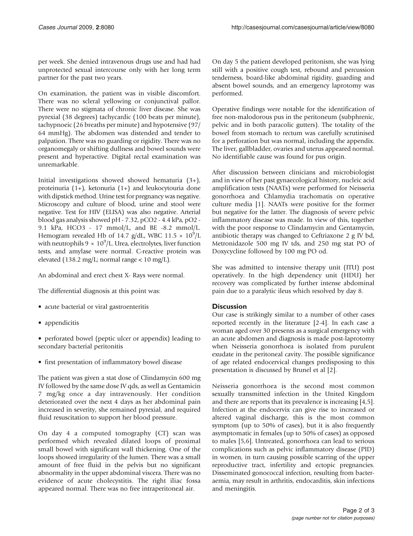per week. She denied intravenous drugs use and had had unprotected sexual intercourse only with her long term partner for the past two years.

On examination, the patient was in visible discomfort. There was no scleral yellowing or conjunctival pallor. There were no stigmata of chronic liver disease. She was pyrexial (38 degrees) tachycardic (100 beats per minute), tachypnoeic (26 breaths per minute) and hypotensive (97/ 64 mmHg). The abdomen was distended and tender to palpation. There was no guarding or rigidity. There was no organomegaly or shifting dullness and bowel sounds were present and hyperactive. Digital rectal examination was unremarkable.

Initial investigations showed showed hematuria (3+), proteinuria (1+), ketonuria (1+) and leukocytouria done with dipstick method. Urine test for pregnancy was negative. Microscopy and culture of blood, urine and stool were negative. Test for HIV (ELISA) was also negative. Arterial blood gas analysis showed pH - 7.32, pCO2 - 4.4 kPa, pO2 - 9.1 kPa, HCO3 - 17 mmol/L, and BE -8.2 mmol/L. Hemogram revealed Hb of 14.7 g/dL, WBC 11.5  $\times$  10<sup>9</sup>/L with neutrophils  $9 \times 10^9$ /L. Urea, electrolytes, liver function tests, and amylase were normal. C-reactive protein was elevated (138.2 mg/L; normal range < 10 mg/L).

An abdominal and erect chest X- Rays were normal.

The differential diagnosis at this point was:

- acute bacterial or viral gastroenteritis
- appendicitis

• perforated bowel (peptic ulcer or appendix) leading to secondary bacterial peritonitis

• first presentation of inflammatory bowel disease

The patient was given a stat dose of Clindamycin 600 mg IV followed by the same dose IV qds, as well as Gentamicin 7 mg/kg once a day intravenously. Her condition deteriorated over the next 4 days as her abdominal pain increased in severity, she remained pyrexial, and required fluid resuscitation to support her blood pressure.

On day 4 a computed tomography (CT) scan was performed which revealed dilated loops of proximal small bowel with significant wall thickening. One of the loops showed irregularity of the lumen. There was a small amount of free fluid in the pelvis but no significant abnormality in the upper abdominal viscera. There was no evidence of acute cholecystitis. The right iliac fossa appeared normal. There was no free intraperitoneal air.

On day 5 the patient developed peritonism, she was lying still with a positive cough test, rebound and percussion tenderness, board-like abdominal rigidity, guarding and absent bowel sounds, and an emergency laprotomy was performed.

Operative findings were notable for the identification of free non-malodorous pus in the peritoneum (subphrenic, pelvic and in both paracolic gutters). The totality of the bowel from stomach to rectum was carefully scrutinised for a perforation but was normal, including the appendix. The liver, gallbladder, ovaries and uterus appeared normal. No identifiable cause was found for pus origin.

After discussion between clinicians and microbiologist and in view of her past gynaecological history, nucleic acid amplification tests (NAATs) were performed for Neisseria gonorrhoea and Chlamydia trachomatis on operative culture media [\[1\]](#page-2-0). NAATs were positive for the former but negative for the latter. The diagnosis of severe pelvic inflammatory disease was made. In view of this, together with the poor response to Clindamycin and Gentamycin, antibiotic therapy was changed to Ceftriaxone 2 g IV bd, Metronidazole 500 mg IV tds, and 250 mg stat PO of Doxycycline followed by 100 mg PO od.

She was admitted to intensive therapy unit (ITU) post operatively. In the high dependency unit (HDU) her recovery was complicated by further intense abdominal pain due to a paralytic ileus which resolved by day 8.

### **Discussion**

Our case is strikingly similar to a number of other cases reported recently in the literature [\[2-4\]](#page-2-0). In each case a woman aged over 30 presents as a surgical emergency with an acute abdomen and diagnosis is made post-laprotomy when Neisseria gonorrhoea is isolated from purulent exudate in the peritoneal cavity. The possible significance of age related endocervical changes predisposing to this presentation is discussed by Brunel et al [[2](#page-2-0)].

Neisseria gonorrhoea is the second most common sexually transmitted infection in the United Kingdom and there are reports that its prevalence is increasing [[4,5\]](#page-2-0). Infection at the endocervix can give rise to increased or altered vaginal discharge, this is the most common symptom (up to 50% of cases), but it is also frequently asymptomatic in females (up to 50% of cases) as opposed to males [[5](#page-2-0),[6\]](#page-2-0). Untreated, gonorrhoea can lead to serious complications such as pelvic inflammatory disease (PID) in women, in turn causing possible scarring of the upper reproductive tract, infertility and ectopic pregnancies. Disseminated gonococcal infection, resulting from bacteraemia, may result in arthritis, endocarditis, skin infections and meningitis.